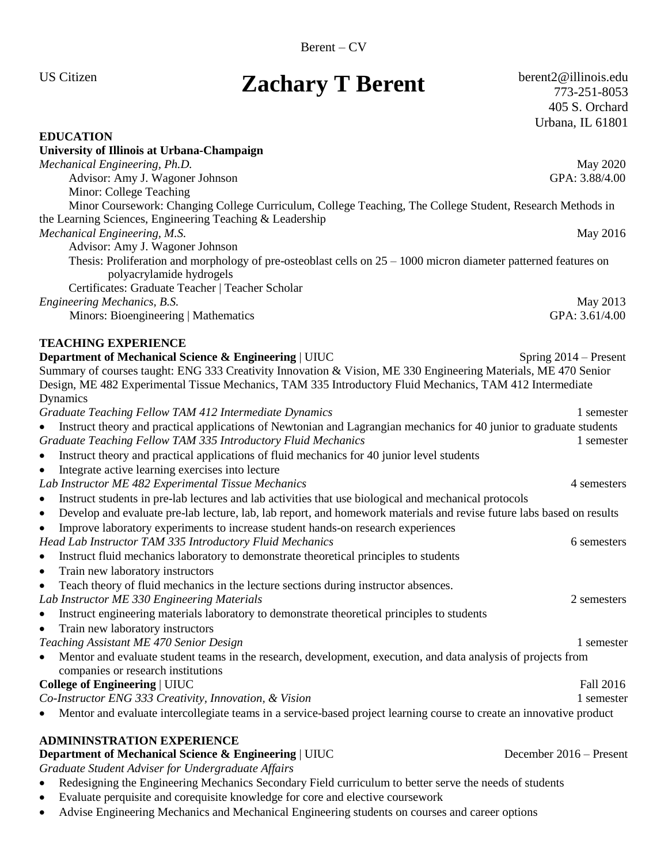# US Citizen **Zachary T Berent** berent2@illinois.edu **Zachary T Berent** berent2@illinois.edu

773-251-8053 405 S. Orchard Urbana, IL 61801

| <b>EDUCATION</b>                                                                                                                                                                                                                                 |                         |
|--------------------------------------------------------------------------------------------------------------------------------------------------------------------------------------------------------------------------------------------------|-------------------------|
| University of Illinois at Urbana-Champaign                                                                                                                                                                                                       |                         |
| Mechanical Engineering, Ph.D.                                                                                                                                                                                                                    | May 2020                |
| Advisor: Amy J. Wagoner Johnson                                                                                                                                                                                                                  | GPA: 3.88/4.00          |
| Minor: College Teaching                                                                                                                                                                                                                          |                         |
| Minor Coursework: Changing College Curriculum, College Teaching, The College Student, Research Methods in<br>the Learning Sciences, Engineering Teaching & Leadership                                                                            |                         |
| Mechanical Engineering, M.S.                                                                                                                                                                                                                     | May 2016                |
| Advisor: Amy J. Wagoner Johnson                                                                                                                                                                                                                  |                         |
| Thesis: Proliferation and morphology of pre-osteoblast cells on $25 - 1000$ micron diameter patterned features on<br>polyacrylamide hydrogels<br>Certificates: Graduate Teacher   Teacher Scholar                                                |                         |
| Engineering Mechanics, B.S.                                                                                                                                                                                                                      | May 2013                |
| Minors: Bioengineering   Mathematics                                                                                                                                                                                                             | GPA: 3.61/4.00          |
| <b>TEACHING EXPERIENCE</b>                                                                                                                                                                                                                       |                         |
| Department of Mechanical Science & Engineering   UIUC                                                                                                                                                                                            | Spring $2014$ – Present |
| Summary of courses taught: ENG 333 Creativity Innovation & Vision, ME 330 Engineering Materials, ME 470 Senior<br>Design, ME 482 Experimental Tissue Mechanics, TAM 335 Introductory Fluid Mechanics, TAM 412 Intermediate<br>Dynamics           |                         |
| Graduate Teaching Fellow TAM 412 Intermediate Dynamics                                                                                                                                                                                           | 1 semester              |
| Instruct theory and practical applications of Newtonian and Lagrangian mechanics for 40 junior to graduate students<br>Graduate Teaching Fellow TAM 335 Introductory Fluid Mechanics                                                             | 1 semester              |
| Instruct theory and practical applications of fluid mechanics for 40 junior level students<br>$\bullet$                                                                                                                                          |                         |
| Integrate active learning exercises into lecture<br>$\bullet$                                                                                                                                                                                    |                         |
| Lab Instructor ME 482 Experimental Tissue Mechanics                                                                                                                                                                                              | 4 semesters             |
| Instruct students in pre-lab lectures and lab activities that use biological and mechanical protocols<br>$\bullet$<br>Develop and evaluate pre-lab lecture, lab, lab report, and homework materials and revise future labs based on results<br>٠ |                         |
| Improve laboratory experiments to increase student hands-on research experiences<br>$\bullet$                                                                                                                                                    |                         |
| Head Lab Instructor TAM 335 Introductory Fluid Mechanics                                                                                                                                                                                         | 6 semesters             |
| Instruct fluid mechanics laboratory to demonstrate theoretical principles to students<br>$\bullet$                                                                                                                                               |                         |
| Train new laboratory instructors<br>$\bullet$                                                                                                                                                                                                    |                         |
| Teach theory of fluid mechanics in the lecture sections during instructor absences.<br>$\bullet$                                                                                                                                                 |                         |
| Lab Instructor ME 330 Engineering Materials                                                                                                                                                                                                      | 2 semesters             |
| Instruct engineering materials laboratory to demonstrate theoretical principles to students<br>$\bullet$                                                                                                                                         |                         |
| Train new laboratory instructors                                                                                                                                                                                                                 |                         |
| Teaching Assistant ME 470 Senior Design                                                                                                                                                                                                          | 1 semester              |
| Mentor and evaluate student teams in the research, development, execution, and data analysis of projects from<br>٠<br>companies or research institutions                                                                                         |                         |
| <b>College of Engineering   UIUC</b>                                                                                                                                                                                                             | Fall 2016               |
| Co-Instructor ENG 333 Creativity, Innovation, & Vision                                                                                                                                                                                           | 1 semester              |
| Mentor and evaluate intercollegiate teams in a service-based project learning course to create an innovative product                                                                                                                             |                         |
| <b>ADMININSTRATION EXPERIENCE</b>                                                                                                                                                                                                                |                         |
| <b>Department of Mechanical Science &amp; Engineering   UIUC</b>                                                                                                                                                                                 | December 2016 – Present |
| Graduate Student Adviser for Undergraduate Affairs                                                                                                                                                                                               |                         |
| Redesigning the Engineering Mechanics Secondary Field curriculum to better serve the needs of students                                                                                                                                           |                         |
| Evaluate perquisite and corequisite knowledge for core and elective coursework                                                                                                                                                                   |                         |

• Advise Engineering Mechanics and Mechanical Engineering students on courses and career options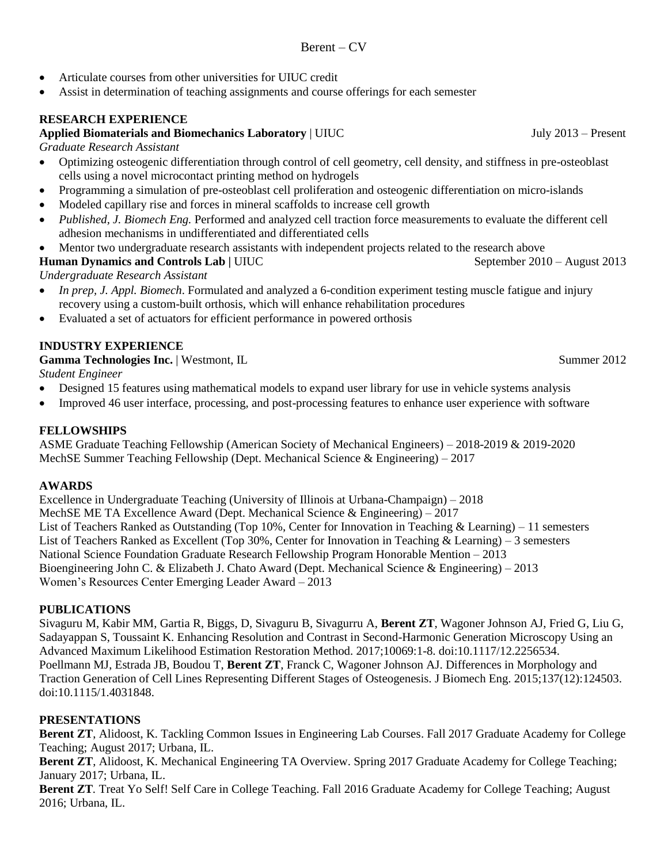- Articulate courses from other universities for UIUC credit
- Assist in determination of teaching assignments and course offerings for each semester

### **RESEARCH EXPERIENCE**

### **Applied Biomaterials and Biomechanics Laboratory** | UIUC **July 2013** – Present

#### *Graduate Research Assistant*

- Optimizing osteogenic differentiation through control of cell geometry, cell density, and stiffness in pre-osteoblast cells using a novel microcontact printing method on hydrogels
- Programming a simulation of pre-osteoblast cell proliferation and osteogenic differentiation on micro-islands
- Modeled capillary rise and forces in mineral scaffolds to increase cell growth
- *Published, J. Biomech Eng.* Performed and analyzed cell traction force measurements to evaluate the different cell adhesion mechanisms in undifferentiated and differentiated cells
- Mentor two undergraduate research assistants with independent projects related to the research above

# **Human Dynamics and Controls Lab** | UIUC September 2010 – August 2013

*Undergraduate Research Assistant*

- *In prep, J. Appl. Biomech*. Formulated and analyzed a 6-condition experiment testing muscle fatigue and injury recovery using a custom-built orthosis, which will enhance rehabilitation procedures
- Evaluated a set of actuators for efficient performance in powered orthosis

## **INDUSTRY EXPERIENCE**

**Gamma Technologies Inc.** | Westmont, IL **Summer 2012** Summer 2012

*Student Engineer* 

- Designed 15 features using mathematical models to expand user library for use in vehicle systems analysis
- Improved 46 user interface, processing, and post-processing features to enhance user experience with software

### **FELLOWSHIPS**

ASME Graduate Teaching Fellowship (American Society of Mechanical Engineers) – 2018-2019 & 2019-2020 MechSE Summer Teaching Fellowship (Dept. Mechanical Science & Engineering) – 2017

#### **AWARDS**

Excellence in Undergraduate Teaching (University of Illinois at Urbana-Champaign) – 2018 MechSE ME TA Excellence Award (Dept. Mechanical Science & Engineering) – 2017 List of Teachers Ranked as Outstanding (Top 10%, Center for Innovation in Teaching & Learning) – 11 semesters List of Teachers Ranked as Excellent (Top 30%, Center for Innovation in Teaching  $\&$  Learning) – 3 semesters National Science Foundation Graduate Research Fellowship Program Honorable Mention – 2013 Bioengineering John C. & Elizabeth J. Chato Award (Dept. Mechanical Science & Engineering) – 2013 Women's Resources Center Emerging Leader Award – 2013

#### **PUBLICATIONS**

Sivaguru M, Kabir MM, Gartia R, Biggs, D, Sivaguru B, Sivagurru A, **Berent ZT**, Wagoner Johnson AJ, Fried G, Liu G, Sadayappan S, Toussaint K. Enhancing Resolution and Contrast in Second-Harmonic Generation Microscopy Using an Advanced Maximum Likelihood Estimation Restoration Method. 2017;10069:1-8. doi:10.1117/12.2256534. Poellmann MJ, Estrada JB, Boudou T, **Berent ZT**, Franck C, Wagoner Johnson AJ. Differences in Morphology and Traction Generation of Cell Lines Representing Different Stages of Osteogenesis. J Biomech Eng. 2015;137(12):124503. doi:10.1115/1.4031848.

#### **PRESENTATIONS**

**Berent ZT**, Alidoost, K*.* Tackling Common Issues in Engineering Lab Courses. Fall 2017 Graduate Academy for College Teaching; August 2017; Urbana, IL.

**Berent ZT**, Alidoost, K*.* Mechanical Engineering TA Overview. Spring 2017 Graduate Academy for College Teaching; January 2017; Urbana, IL.

**Berent ZT***.* Treat Yo Self! Self Care in College Teaching. Fall 2016 Graduate Academy for College Teaching; August 2016; Urbana, IL.